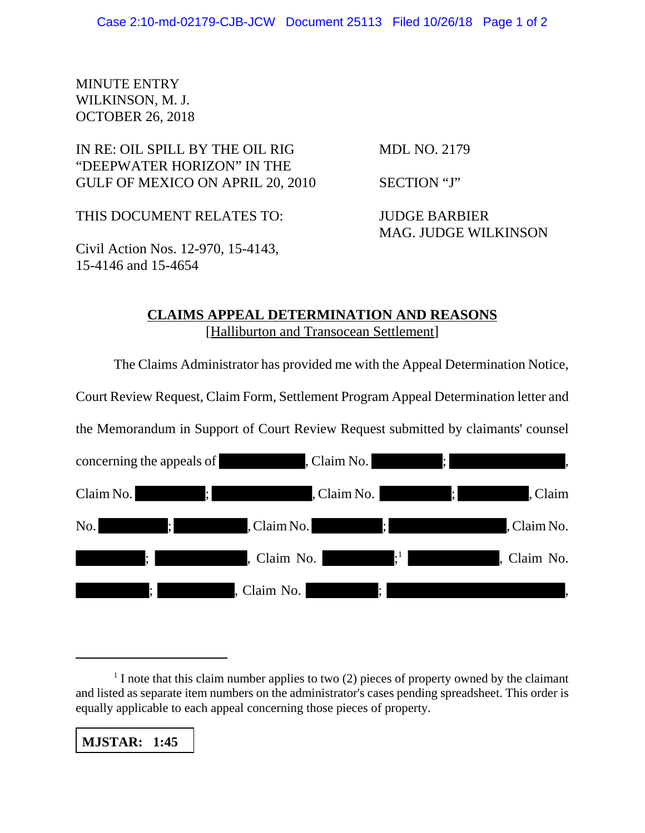## MINUTE ENTRY WILKINSON, M. J. OCTOBER 26, 2018

## IN RE: OIL SPILL BY THE OIL RIG MDL NO. 2179 "DEEPWATER HORIZON" IN THE GULF OF MEXICO ON APRIL 20, 2010 SECTION "J"

THIS DOCUMENT RELATES TO: JUDGE BARBIER

MAG. JUDGE WILKINSON

Civil Action Nos. 12-970, 15-4143, 15-4146 and 15-4654

## **CLAIMS APPEAL DETERMINATION AND REASONS** [Halliburton and Transocean Settlement]

The Claims Administrator has provided me with the Appeal Determination Notice,

Court Review Request, Claim Form, Settlement Program Appeal Determination letter and

the Memorandum in Support of Court Review Request submitted by claimants' counsel

| concerning the appeals of          | , Claim No.                   | <b>Alternative Co</b> | $\cdot$<br>$\overline{\phantom{a}}$       |
|------------------------------------|-------------------------------|-----------------------|-------------------------------------------|
| $\ddot{\hspace{1ex}}$<br>Claim No. |                               |                       | , Claim No. (3) (3) (3) ; (3) (3) , Claim |
| No.<br>$\ddot{i}$                  | $\ddot{i}$<br>, Claim No.     |                       | <u> La Carta de Carta</u><br>, Claim No.  |
| $\cdot$ .                          | , Claim No.                   | $\cdot$ <sup>1</sup>  | , Claim No.                               |
| $\vdots$                           | , Claim No.<br>$\mathbb{R}^n$ |                       |                                           |

**MJSTAR: 1:45**

 $<sup>1</sup>$  I note that this claim number applies to two (2) pieces of property owned by the claimant</sup> and listed as separate item numbers on the administrator's cases pending spreadsheet. This order is equally applicable to each appeal concerning those pieces of property.